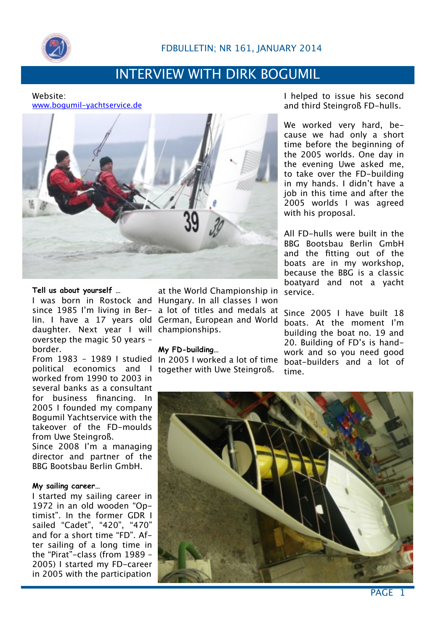

## INTERVIEW WITH DIRK BOGUMIL

### Website: [www.bogumil-yachtservice.de](http://www.bogumil-yachtservice.de)



## **Tell us about yourself …**

daughter. Next year I will championships. overstep the magic 50 years – border.

political economics and I together with Uwe Steingroß. worked from 1990 to 2003 in several banks as a consultant for business financing. In 2005 I founded my company Bogumil Yachtservice with the takeover of the FD-moulds from Uwe Steingroß.

Since 2008 I'm a managing director and partner of the BBG Bootsbau Berlin GmbH.

## **My sailing career…**

I started my sailing career in 1972 in an old wooden "Optimist". In the former GDR I sailed "Cadet", "420", "470" and for a short time "FD". After sailing of a long time in the "Pirat"-class (from 1989 – 2005) I started my FD-career in 2005 with the participation

I was born in Rostock and Hungary. In all classes I won since 1985 I'm living in Ber-a lot of titles and medals at lin. I have a 17 years old German, European and World at the World Championship in

## **My FD-building…**

From 1983 – 1989 I studied In 2005 I worked a lot of time

I helped to issue his second and third Steingroß FD-hulls.

We worked very hard, because we had only a short time before the beginning of the 2005 worlds. One day in the evening Uwe asked me, to take over the FD-building in my hands. I didn't have a job in this time and after the 2005 worlds I was agreed with his proposal.

All FD-hulls were built in the BBG Bootsbau Berlin GmbH and the fitting out of the boats are in my workshop, because the BBG is a classic boatyard and not a yacht service.

Since 2005 I have built 18 boats. At the moment I'm building the boat no. 19 and 20. Building of FD's is handwork and so you need good boat-builders and a lot of time.



PAGE<sub>1</sub>